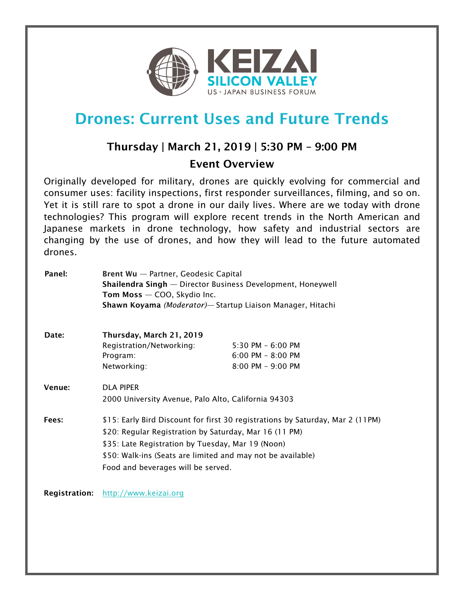

# Drones: Current Uses and Future Trends

## Thursday | March 21, 2019 | 5:30 PM – 9:00 PM Event Overview

Originally developed for military, drones are quickly evolving for commercial and consumer uses: facility inspections, first responder surveillances, filming, and so on. Yet it is still rare to spot a drone in our daily lives. Where are we today with drone technologies? This program will explore recent trends in the North American and Japanese markets in drone technology, how safety and industrial sectors are changing by the use of drones, and how they will lead to the future automated drones.

| Panel:               | Brent Wu - Partner, Geodesic Capital                                                                                                                             |                       |  |
|----------------------|------------------------------------------------------------------------------------------------------------------------------------------------------------------|-----------------------|--|
|                      | <b>Shailendra Singh</b> — Director Business Development, Honeywell<br>Tom Moss - COO, Skydio Inc.<br>Shawn Koyama (Moderator) - Startup Liaison Manager, Hitachi |                       |  |
|                      |                                                                                                                                                                  |                       |  |
|                      |                                                                                                                                                                  |                       |  |
|                      |                                                                                                                                                                  |                       |  |
| Date:                | Thursday, March 21, 2019                                                                                                                                         |                       |  |
|                      | Registration/Networking:                                                                                                                                         | $5:30$ PM $-6:00$ PM  |  |
|                      | Program:                                                                                                                                                         | $6:00$ PM - $8:00$ PM |  |
|                      | Networking:                                                                                                                                                      | $8:00$ PM $-9:00$ PM  |  |
| Venue:               | <b>DLA PIPER</b>                                                                                                                                                 |                       |  |
|                      | 2000 University Avenue, Palo Alto, California 94303                                                                                                              |                       |  |
| Fees:                | \$15: Early Bird Discount for first 30 registrations by Saturday, Mar 2 (11PM)                                                                                   |                       |  |
|                      | \$20: Regular Registration by Saturday, Mar 16 (11 PM)                                                                                                           |                       |  |
|                      | \$35: Late Registration by Tuesday, Mar 19 (Noon)<br>\$50: Walk-ins (Seats are limited and may not be available)                                                 |                       |  |
|                      |                                                                                                                                                                  |                       |  |
|                      | Food and beverages will be served.                                                                                                                               |                       |  |
|                      |                                                                                                                                                                  |                       |  |
| <b>Registration:</b> | http://www.keizai.org                                                                                                                                            |                       |  |